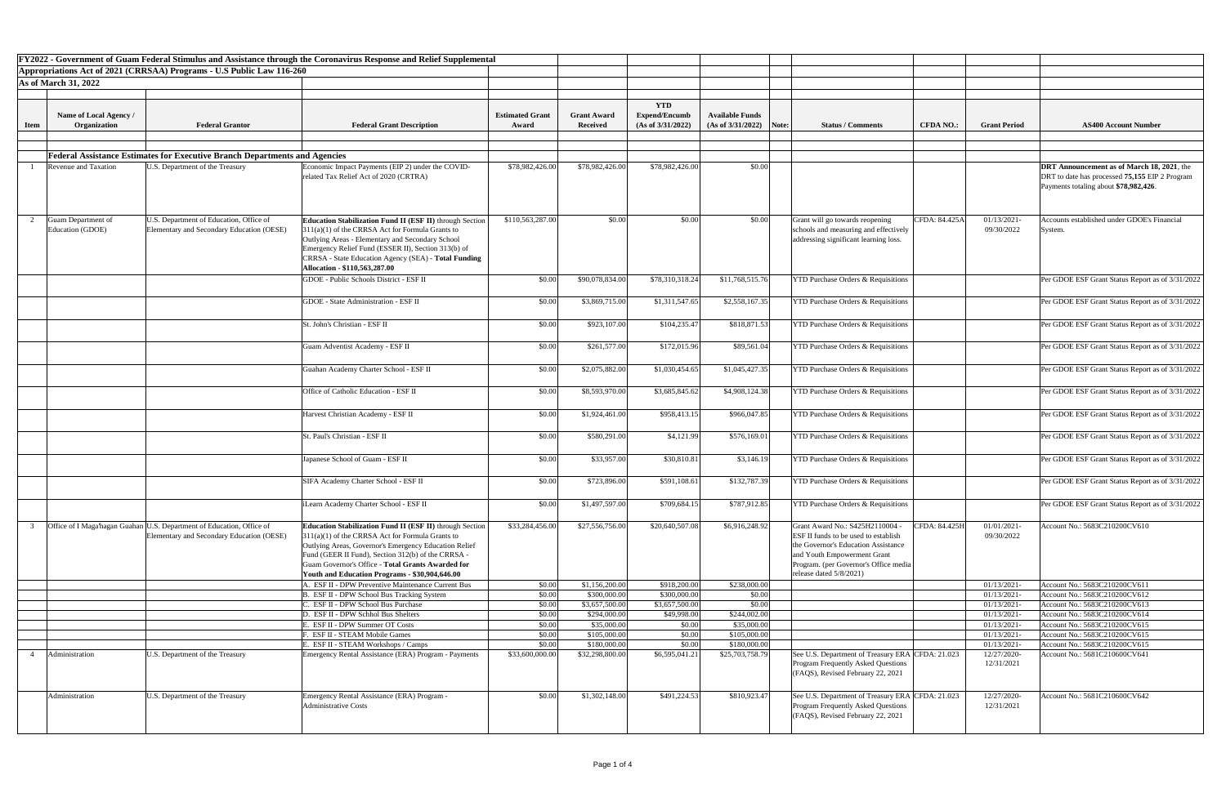|             |                                        |                                                                                                                    | FY2022 - Government of Guam Federal Stimulus and Assistance through the Coronavirus Response and Relief Supplemental                                                                                                                                                                                                                                    |                        |                    |                      |                        |                                                                                                                                                                                                                           |                  |                           |                                                                                                                                              |
|-------------|----------------------------------------|--------------------------------------------------------------------------------------------------------------------|---------------------------------------------------------------------------------------------------------------------------------------------------------------------------------------------------------------------------------------------------------------------------------------------------------------------------------------------------------|------------------------|--------------------|----------------------|------------------------|---------------------------------------------------------------------------------------------------------------------------------------------------------------------------------------------------------------------------|------------------|---------------------------|----------------------------------------------------------------------------------------------------------------------------------------------|
|             |                                        | Appropriations Act of 2021 (CRRSAA) Programs - U.S Public Law 116-260                                              |                                                                                                                                                                                                                                                                                                                                                         |                        |                    |                      |                        |                                                                                                                                                                                                                           |                  |                           |                                                                                                                                              |
|             | <b>As of March 31, 2022</b>            |                                                                                                                    |                                                                                                                                                                                                                                                                                                                                                         |                        |                    |                      |                        |                                                                                                                                                                                                                           |                  |                           |                                                                                                                                              |
|             |                                        |                                                                                                                    |                                                                                                                                                                                                                                                                                                                                                         |                        |                    |                      |                        |                                                                                                                                                                                                                           |                  |                           |                                                                                                                                              |
|             |                                        |                                                                                                                    |                                                                                                                                                                                                                                                                                                                                                         |                        |                    |                      |                        |                                                                                                                                                                                                                           |                  |                           |                                                                                                                                              |
|             |                                        |                                                                                                                    |                                                                                                                                                                                                                                                                                                                                                         |                        |                    | <b>YTD</b>           |                        |                                                                                                                                                                                                                           |                  |                           |                                                                                                                                              |
|             | Name of Local Agency /                 |                                                                                                                    |                                                                                                                                                                                                                                                                                                                                                         | <b>Estimated Grant</b> | <b>Grant Award</b> | <b>Expend/Encumb</b> | <b>Available Funds</b> |                                                                                                                                                                                                                           |                  |                           |                                                                                                                                              |
| <b>Item</b> | Organization                           | <b>Federal Grantor</b>                                                                                             | <b>Federal Grant Description</b>                                                                                                                                                                                                                                                                                                                        | Award                  | <b>Received</b>    | (As of 3/31/2022)    | (As of 3/31/2022)      | Note:<br><b>Status / Comments</b>                                                                                                                                                                                         | <b>CFDA NO.:</b> | <b>Grant Period</b>       | <b>AS400 Account Number</b>                                                                                                                  |
|             |                                        |                                                                                                                    |                                                                                                                                                                                                                                                                                                                                                         |                        |                    |                      |                        |                                                                                                                                                                                                                           |                  |                           |                                                                                                                                              |
|             |                                        |                                                                                                                    |                                                                                                                                                                                                                                                                                                                                                         |                        |                    |                      |                        |                                                                                                                                                                                                                           |                  |                           |                                                                                                                                              |
|             |                                        | <b>Federal Assistance Estimates for Executive Branch Departments and Agencies</b>                                  |                                                                                                                                                                                                                                                                                                                                                         |                        |                    |                      |                        |                                                                                                                                                                                                                           |                  |                           |                                                                                                                                              |
|             | <b>Revenue and Taxation</b>            | U.S. Department of the Treasury                                                                                    | Economic Impact Payments (EIP 2) under the COVID-<br>related Tax Relief Act of 2020 (CRTRA)                                                                                                                                                                                                                                                             | \$78,982,426.00        | \$78,982,426.00    | \$78,982,426.00      | \$0.00                 |                                                                                                                                                                                                                           |                  |                           | <b>DRT</b> Announcement as of March 18, 2021, the<br>DRT to date has processed 75,155 EIP 2 Program<br>Payments totaling about \$78,982,426. |
|             |                                        |                                                                                                                    |                                                                                                                                                                                                                                                                                                                                                         |                        |                    |                      |                        |                                                                                                                                                                                                                           |                  |                           |                                                                                                                                              |
|             | Guam Department of<br>Education (GDOE) | U.S. Department of Education, Office of<br>Elementary and Secondary Education (OESE)                               | <b>Education Stabilization Fund II (ESF II)</b> through Section<br>$311(a)(1)$ of the CRRSA Act for Formula Grants to<br>Outlying Areas - Elementary and Secondary School<br>Emergency Relief Fund (ESSER II), Section 313(b) of<br>CRRSA - State Education Agency (SEA) - Total Funding<br>Allocation - \$110,563,287.00                               | \$110,563,287.00       | \$0.00             | \$0.00               | \$0.00                 | Grant will go towards reopening<br>schools and measuring and effectively<br>addressing significant learning loss.                                                                                                         | CFDA: 84.425A    | 01/13/2021-<br>09/30/2022 | Accounts established under GDOE's Financial<br>System.                                                                                       |
|             |                                        |                                                                                                                    | GDOE - Public Schools District - ESF II                                                                                                                                                                                                                                                                                                                 | \$0.00                 | \$90,078,834.00    | \$78,310,318.24      | \$11,768,515.76        | <b>YTD Purchase Orders &amp; Requisitions</b>                                                                                                                                                                             |                  |                           | Per GDOE ESF Grant Status Report as of 3/31/2022                                                                                             |
|             |                                        |                                                                                                                    |                                                                                                                                                                                                                                                                                                                                                         |                        |                    |                      |                        |                                                                                                                                                                                                                           |                  |                           |                                                                                                                                              |
|             |                                        |                                                                                                                    | <b>GDOE</b> - State Administration - ESF II                                                                                                                                                                                                                                                                                                             | \$0.00                 | \$3,869,715.00     | \$1,311,547.65       | \$2,558,167.35         | <b>YTD Purchase Orders &amp; Requisitions</b>                                                                                                                                                                             |                  |                           | Per GDOE ESF Grant Status Report as of 3/31/2022                                                                                             |
|             |                                        |                                                                                                                    | St. John's Christian - ESF II                                                                                                                                                                                                                                                                                                                           |                        |                    |                      |                        | <b>YTD Purchase Orders &amp; Requisitions</b>                                                                                                                                                                             |                  |                           | Per GDOE ESF Grant Status Report as of 3/31/2022                                                                                             |
|             |                                        |                                                                                                                    |                                                                                                                                                                                                                                                                                                                                                         | \$0.00                 | \$923,107.00       | \$104,235.47         | \$818,871.53           |                                                                                                                                                                                                                           |                  |                           |                                                                                                                                              |
|             |                                        |                                                                                                                    | Guam Adventist Academy - ESF II                                                                                                                                                                                                                                                                                                                         | \$0.00                 | \$261,577.00       | \$172,015.96         | \$89,561.04            | <b>YTD Purchase Orders &amp; Requisitions</b>                                                                                                                                                                             |                  |                           | Per GDOE ESF Grant Status Report as of 3/31/2022                                                                                             |
|             |                                        |                                                                                                                    |                                                                                                                                                                                                                                                                                                                                                         |                        |                    |                      |                        |                                                                                                                                                                                                                           |                  |                           |                                                                                                                                              |
|             |                                        |                                                                                                                    | Guahan Academy Charter School - ESF II                                                                                                                                                                                                                                                                                                                  | \$0.00                 | \$2,075,882.00     | \$1,030,454.65       | \$1,045,427.35         | <b>YTD Purchase Orders &amp; Requisitions</b>                                                                                                                                                                             |                  |                           | Per GDOE ESF Grant Status Report as of 3/31/2022                                                                                             |
|             |                                        |                                                                                                                    | Office of Catholic Education - ESF II                                                                                                                                                                                                                                                                                                                   | \$0.00                 | \$8,593,970.00     | \$3,685,845.62       | \$4,908,124.38         | <b>YTD Purchase Orders &amp; Requisitions</b>                                                                                                                                                                             |                  |                           | Per GDOE ESF Grant Status Report as of 3/31/2022                                                                                             |
|             |                                        |                                                                                                                    | Harvest Christian Academy - ESF II                                                                                                                                                                                                                                                                                                                      | \$0.00                 | \$1,924,461.00     | \$958,413.15         | \$966,047.85           | <b>YTD Purchase Orders &amp; Requisitions</b>                                                                                                                                                                             |                  |                           | Per GDOE ESF Grant Status Report as of 3/31/2022                                                                                             |
|             |                                        |                                                                                                                    | St. Paul's Christian - ESF II                                                                                                                                                                                                                                                                                                                           | \$0.00                 | \$580,291.00       | \$4,121.99           | \$576,169.01           | <b>YTD Purchase Orders &amp; Requisitions</b>                                                                                                                                                                             |                  |                           | Per GDOE ESF Grant Status Report as of 3/31/2022                                                                                             |
|             |                                        |                                                                                                                    | Japanese School of Guam - ESF II                                                                                                                                                                                                                                                                                                                        | \$0.00                 | \$33,957.00        | \$30,810.81          | \$3,146.19             | <b>YTD Purchase Orders &amp; Requisitions</b>                                                                                                                                                                             |                  |                           | Per GDOE ESF Grant Status Report as of 3/31/2022                                                                                             |
|             |                                        |                                                                                                                    | SIFA Academy Charter School - ESF II                                                                                                                                                                                                                                                                                                                    | \$0.00                 | \$723,896.00       | \$591,108.61         | \$132,787.39           | <b>YTD Purchase Orders &amp; Requisitions</b>                                                                                                                                                                             |                  |                           | Per GDOE ESF Grant Status Report as of 3/31/2022                                                                                             |
|             |                                        |                                                                                                                    | iLearn Academy Charter School - ESF II                                                                                                                                                                                                                                                                                                                  | \$0.00                 | \$1,497,597.00     | \$709,684.15         | \$787,912.85           | <b>YTD Purchase Orders &amp; Requisitions</b>                                                                                                                                                                             |                  |                           | Per GDOE ESF Grant Status Report as of 3/31/2022                                                                                             |
|             |                                        |                                                                                                                    |                                                                                                                                                                                                                                                                                                                                                         |                        |                    |                      |                        |                                                                                                                                                                                                                           |                  |                           |                                                                                                                                              |
|             |                                        | Office of I Maga hagan Guahan U.S. Department of Education, Office of<br>Elementary and Secondary Education (OESE) | <b>Education Stabilization Fund II (ESF II)</b> through Section<br>311(a)(1) of the CRRSA Act for Formula Grants to<br><b>Outlying Areas, Governor's Emergency Education Relief</b><br>Fund (GEER II Fund), Section 312(b) of the CRRSA -<br><b>Guam Governor's Office - Total Grants Awarded for</b><br>Youth and Education Programs - \$30,904,646.00 | \$33,284,456.00        | \$27,556,756.00    | \$20,640,507.08      | \$6,916,248.92         | Grant Award No.: S425H2110004<br><b>ESF II funds to be used to establish</b><br>the Governor's Education Assistance<br>and Youth Empowerment Grant<br>Program. (per Governor's Office media<br>release dated $5/8/2021$ ) | CFDA: 84.425H    | 01/01/2021-<br>09/30/2022 | Account No.: 5683C210200CV610                                                                                                                |
|             |                                        |                                                                                                                    | . ESF II - DPW Preventive Maintenance Current Bus                                                                                                                                                                                                                                                                                                       | \$0.00                 | \$1,156,200.00     | \$918,200.00         | \$238,000.00           |                                                                                                                                                                                                                           |                  | 01/13/2021-               | Account No.: 5683C210200CV611                                                                                                                |
|             |                                        |                                                                                                                    | <b>ESF II - DPW School Bus Tracking System</b>                                                                                                                                                                                                                                                                                                          | \$0.00                 | \$300,000.00       | \$300,000.0          | \$0.00                 |                                                                                                                                                                                                                           |                  | 01/13/2021-               | Account No.: 5683C210200CV612                                                                                                                |
|             |                                        |                                                                                                                    | . ESF II - DPW School Bus Purchase                                                                                                                                                                                                                                                                                                                      | \$0.00                 | \$3,657,500.00     | \$3,657,500.0        | \$0.00                 |                                                                                                                                                                                                                           |                  | 01/13/2021-               | Account No.: 5683C210200CV613                                                                                                                |
|             |                                        |                                                                                                                    | D. ESF II - DPW Schhol Bus Shelters                                                                                                                                                                                                                                                                                                                     | \$0.00                 | \$294,000.00       | \$49,998.00          | \$244,002.00           |                                                                                                                                                                                                                           |                  | 01/13/2021-               | Account No.: 5683C210200CV614                                                                                                                |
|             |                                        |                                                                                                                    | <b>ESF II - DPW Summer OT Costs</b>                                                                                                                                                                                                                                                                                                                     | \$0.00                 | \$35,000.00        | \$0.00               | \$35,000.00            |                                                                                                                                                                                                                           |                  | 01/13/2021-               | Account No.: 5683C210200CV615                                                                                                                |
|             |                                        |                                                                                                                    | <b>ESF II - STEAM Mobile Games</b>                                                                                                                                                                                                                                                                                                                      | \$0.00                 | \$105,000.00       | \$0.00               | \$105,000.00           |                                                                                                                                                                                                                           |                  | 01/13/2021-               | Account No.: 5683C210200CV615                                                                                                                |
|             |                                        |                                                                                                                    | . ESF II - STEAM Workshops / Camps                                                                                                                                                                                                                                                                                                                      | \$0.00                 | \$180,000.00       | \$0.00               | \$180,000.00           |                                                                                                                                                                                                                           |                  | 01/13/2021-               | Account No.: 5683C210200CV615                                                                                                                |
|             | Administration                         | U.S. Department of the Treasury                                                                                    | Emergency Rental Assistance (ERA) Program - Payments                                                                                                                                                                                                                                                                                                    | \$33,600,000.0         | \$32,298,800.00    | \$6,595,041.21       | \$25,703,758.79        | See U.S. Department of Treasury ERA CFDA: 21.023<br><b>Program Frequently Asked Questions</b><br>(FAQS), Revised February 22, 2021                                                                                        |                  | 12/27/2020-<br>12/31/2021 | Account No.: 5681C210600CV641                                                                                                                |
|             | Administration                         | U.S. Department of the Treasury                                                                                    | <b>Emergency Rental Assistance (ERA) Program -</b><br><b>Administrative Costs</b>                                                                                                                                                                                                                                                                       | \$0.00                 | \$1,302,148.00     | \$491,224.53         | \$810,923.47           | See U.S. Department of Treasury ERA CFDA: 21.023<br><b>Program Frequently Asked Questions</b><br>(FAQS), Revised February 22, 2021                                                                                        |                  | 12/27/2020-<br>12/31/2021 | Account No.: 5681C210600CV642                                                                                                                |

| t <b>Number</b>             |
|-----------------------------|
|                             |
|                             |
|                             |
| <b>Iarch 18, 2021</b> , the |
| ,155 EIP 2 Program          |
| 982,426.                    |
|                             |
|                             |
| DOE's Financial             |
|                             |
|                             |
|                             |
|                             |
| Report as of $3/31/2022$    |
|                             |
| Report as of $3/31/2022$    |
|                             |
| Report as of 3/31/2022      |
|                             |
| Report as of 3/31/2022      |
|                             |
| Report as of 3/31/2022      |
|                             |
| Report as of 3/31/2022      |
|                             |
| Report as of 3/31/2022      |
| Report as of 3/31/2022      |
|                             |
| Report as of 3/31/2022      |
|                             |
| Report as of 3/31/2022      |
|                             |
| Report as of 3/31/2022      |
|                             |
| V610                        |
|                             |
|                             |
|                             |
|                             |
| .<br>V611                   |
| V612                        |
| $\overline{V613}$           |
| V614                        |
| V615                        |
| $\overline{V}$ V615         |
| Y615<br>$\overline{V}$ 641  |
|                             |
|                             |
|                             |
| <b>V642</b>                 |
|                             |
|                             |
|                             |
|                             |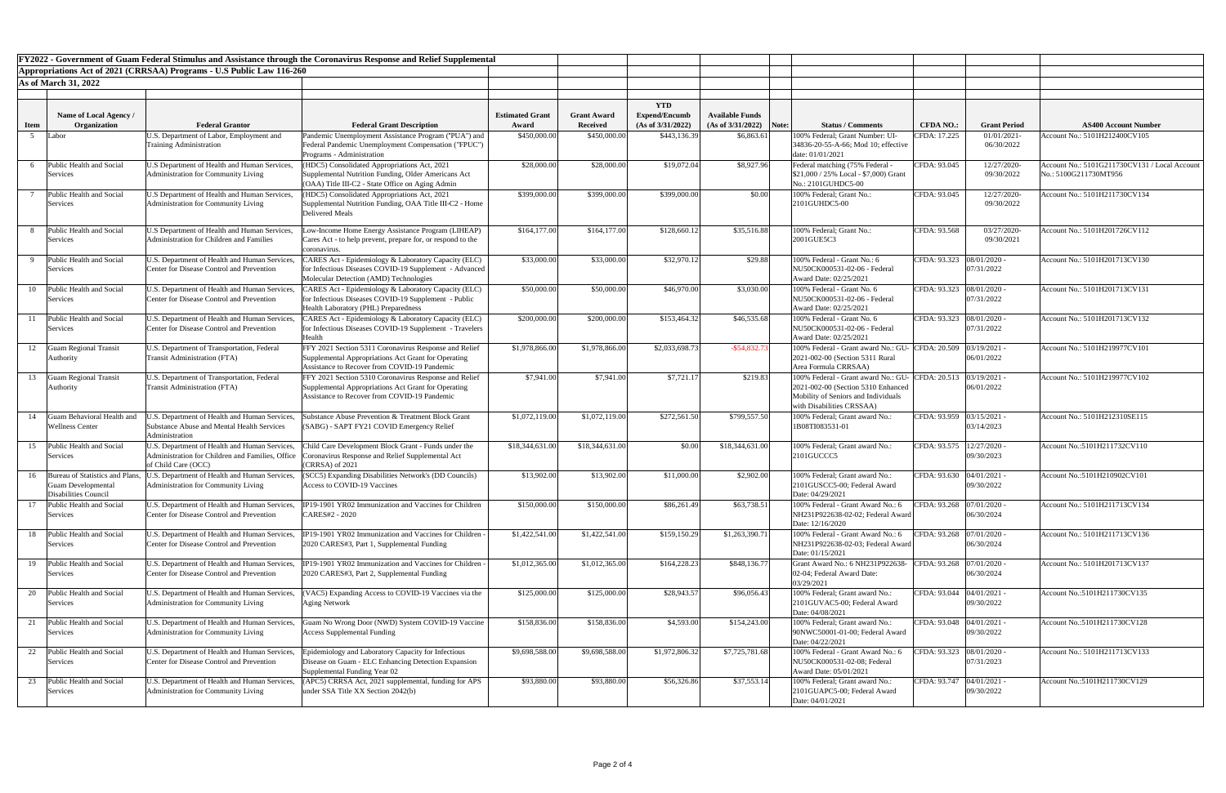| FY2022 - Government of Guam Federal Stimulus and Assistance through the Coronavirus Response and Relief Supplemental |                                                         |                                                                                            |                                                                                                                |                        |                    |                      |                        |       |                                                                                        |                             |                              |                                               |
|----------------------------------------------------------------------------------------------------------------------|---------------------------------------------------------|--------------------------------------------------------------------------------------------|----------------------------------------------------------------------------------------------------------------|------------------------|--------------------|----------------------|------------------------|-------|----------------------------------------------------------------------------------------|-----------------------------|------------------------------|-----------------------------------------------|
|                                                                                                                      |                                                         | Appropriations Act of 2021 (CRRSAA) Programs - U.S Public Law 116-260                      |                                                                                                                |                        |                    |                      |                        |       |                                                                                        |                             |                              |                                               |
|                                                                                                                      | <b>As of March 31, 2022</b>                             |                                                                                            |                                                                                                                |                        |                    |                      |                        |       |                                                                                        |                             |                              |                                               |
|                                                                                                                      |                                                         |                                                                                            |                                                                                                                |                        |                    |                      |                        |       |                                                                                        |                             |                              |                                               |
|                                                                                                                      |                                                         |                                                                                            |                                                                                                                |                        |                    | <b>YTD</b>           |                        |       |                                                                                        |                             |                              |                                               |
|                                                                                                                      | Name of Local Agency /                                  |                                                                                            |                                                                                                                | <b>Estimated Grant</b> | <b>Grant Award</b> | <b>Expend/Encumb</b> | <b>Available Funds</b> |       |                                                                                        |                             |                              |                                               |
| <b>Item</b>                                                                                                          | Organization                                            | <b>Federal Grantor</b>                                                                     | <b>Federal Grant Description</b>                                                                               | Award                  | Received           | (As of 3/31/2022)    | (As of 3/31/2022)      | Note: | <b>Status / Comments</b>                                                               | <b>CFDA NO.:</b>            | <b>Grant Period</b>          | <b>AS400 Account Number</b>                   |
|                                                                                                                      | Labor                                                   | U.S. Department of Labor, Employment and                                                   | Pandemic Unemployment Assistance Program ("PUA") and                                                           | \$450,000.00           | \$450,000.00       | \$443,136.39         | \$6,863.61             |       | 100% Federal; Grant Number: UI-                                                        | CFDA: 17.225                | $01/01/2021$ -               | Account No.: 5101H212400CV105                 |
|                                                                                                                      |                                                         | <b>Training Administration</b>                                                             | Federal Pandemic Unemployment Compensation ("FPUC")                                                            |                        |                    |                      |                        |       | 34836-20-55-A-66; Mod 10; effective                                                    |                             | 06/30/2022                   |                                               |
|                                                                                                                      |                                                         |                                                                                            | <b>Programs</b> - Administration                                                                               |                        |                    |                      |                        |       | date: 01/01/2021                                                                       |                             |                              |                                               |
|                                                                                                                      | Public Health and Social                                | U.S Department of Health and Human Services,                                               | HDC5) Consolidated Appropriations Act, 2021                                                                    | \$28,000.00            | \$28,000.00        | \$19,072.04          | \$8,927.96             |       | Federal matching (75% Federal                                                          | CFDA: 93.045                | 12/27/2020-                  | Account No.: 5101G211730CV131 / Local Account |
|                                                                                                                      | Services                                                | Administration for Community Living                                                        | Supplemental Nutrition Funding, Older Americans Act<br>(OAA) Title III-C2 - State Office on Aging Admin        |                        |                    |                      |                        |       | $$21,000 / 25\%$ Local - \$7,000) Grant<br>No.: 2101GUHDC5-00                          |                             | 09/30/2022                   | No.: 5100G211730MT956                         |
|                                                                                                                      | Public Health and Social                                | U.S Department of Health and Human Services,                                               | HDC5) Consolidated Appropriations Act, 2021                                                                    | \$399,000.00           | \$399,000.00       | \$399,000.00         | \$0.00                 |       | 100% Federal: Grant No.:                                                               | CFDA: 93.045                | 12/27/2020-                  | Account No.: 5101H211730CV134                 |
|                                                                                                                      | Services                                                | Administration for Community Living                                                        | Supplemental Nutrition Funding, OAA Title III-C2 - Home                                                        |                        |                    |                      |                        |       | 2101GUHDC5-00                                                                          |                             | 09/30/2022                   |                                               |
|                                                                                                                      |                                                         |                                                                                            | Delivered Meals                                                                                                |                        |                    |                      |                        |       |                                                                                        |                             |                              |                                               |
|                                                                                                                      |                                                         |                                                                                            |                                                                                                                |                        |                    |                      |                        |       |                                                                                        |                             |                              |                                               |
|                                                                                                                      | Public Health and Social                                | U.S Department of Health and Human Services,                                               | Low-Income Home Energy Assistance Program (LIHEAP)                                                             | \$164,177.00           | \$164,177.00       | \$128,660.12         | \$35,516.88            |       | 100% Federal; Grant No.:                                                               | CFDA: 93.568                | 03/27/2020-                  | Account No.: 5101H201726CV112                 |
|                                                                                                                      | Services                                                | Administration for Children and Families                                                   | Cares Act - to help prevent, prepare for, or respond to the                                                    |                        |                    |                      |                        |       | 2001GUE5C3                                                                             |                             | 09/30/2021                   |                                               |
|                                                                                                                      | Public Health and Social                                |                                                                                            | coronavirus.                                                                                                   |                        |                    |                      |                        |       | 100% Federal - Grant No.: 6                                                            |                             |                              |                                               |
|                                                                                                                      | Services                                                | U.S. Department of Health and Human Services,<br>Center for Disease Control and Prevention | CARES Act - Epidemiology & Laboratory Capacity (ELC)<br>for Infectious Diseases COVID-19 Supplement - Advanced | \$33,000.00            | \$33,000.00        | \$32,970.12          | \$29.88                |       | NU50CK000531-02-06 - Federal                                                           | CFDA: 93.323 08/01/2020 -   | 07/31/2022                   | Account No.: 5101H201713CV130                 |
|                                                                                                                      |                                                         |                                                                                            | Molecular Detection (AMD) Technologies                                                                         |                        |                    |                      |                        |       | Award Date: 02/25/2021                                                                 |                             |                              |                                               |
| 10                                                                                                                   | Public Health and Social                                | U.S. Department of Health and Human Services,                                              | CARES Act - Epidemiology & Laboratory Capacity (ELC)                                                           | \$50,000.00            | \$50,000.00        | \$46,970.00          | \$3,030.00             |       | 100% Federal - Grant No. 6                                                             | CFDA: 93.323  08/01/2020 -  |                              | Account No.: 5101H201713CV131                 |
|                                                                                                                      | Services                                                | Center for Disease Control and Prevention                                                  | for Infectious Diseases COVID-19 Supplement - Public                                                           |                        |                    |                      |                        |       | NU50CK000531-02-06 - Federal                                                           |                             | 07/31/2022                   |                                               |
|                                                                                                                      |                                                         |                                                                                            | Health Laboratory (PHL) Preparedness                                                                           |                        |                    |                      |                        |       | Award Date: 02/25/2021                                                                 |                             |                              |                                               |
|                                                                                                                      | Public Health and Social                                | U.S. Department of Health and Human Services,                                              | CARES Act - Epidemiology & Laboratory Capacity (ELC)                                                           | \$200,000.00           | \$200,000.00       | \$153,464.32         | \$46,535.68            |       | 100% Federal - Grant No. 6                                                             | CFDA: 93.323 08/01/2020 -   |                              | Account No.: 5101H201713CV132                 |
|                                                                                                                      | Services                                                | Center for Disease Control and Prevention                                                  | for Infectious Diseases COVID-19 Supplement - Travelers                                                        |                        |                    |                      |                        |       | NU50CK000531-02-06 - Federal                                                           |                             | 07/31/2022                   |                                               |
|                                                                                                                      |                                                         |                                                                                            | Health                                                                                                         |                        |                    |                      |                        |       | Award Date: 02/25/2021                                                                 |                             |                              |                                               |
| 12                                                                                                                   | <b>Guam Regional Transit</b>                            | U.S. Department of Transportation, Federal                                                 | FFY 2021 Section 5311 Coronavirus Response and Relief                                                          | \$1,978,866.00         | \$1,978,866.00     | \$2,033,698.73       | $-$ \$54,832.7         |       | 100% Federal - Grant award No.: GU- CFDA: 20.509 03/19/2021 -                          |                             |                              | Account No.: 5101H219977CV101                 |
|                                                                                                                      | Authority                                               | <b>Transit Administration (FTA)</b>                                                        | Supplemental Appropriations Act Grant for Operating                                                            |                        |                    |                      |                        |       | 2021-002-00 (Section 5311 Rural                                                        |                             | 06/01/2022                   |                                               |
|                                                                                                                      |                                                         |                                                                                            | Assistance to Recover from COVID-19 Pandemic                                                                   |                        |                    |                      |                        |       | Area Formula CRRSAA)                                                                   |                             |                              |                                               |
| 13                                                                                                                   | <b>Guam Regional Transit</b>                            | U.S. Department of Transportation, Federal<br><b>Transit Administration (FTA)</b>          | FFY 2021 Section 5310 Coronavirus Response and Relief                                                          | \$7,941.00             | \$7,941.00         | \$7,721.1'           | \$219.83               |       | 100% Federal - Grant award No.: GU- CFDA: 20.513<br>2021-002-00 (Section 5310 Enhanced |                             | $03/19/2021$ -<br>06/01/2022 | Account No.: 5101H219977CV102                 |
|                                                                                                                      | Authority                                               |                                                                                            | Supplemental Appropriations Act Grant for Operating<br>Assistance to Recover from COVID-19 Pandemic            |                        |                    |                      |                        |       | Mobility of Seniors and Individuals                                                    |                             |                              |                                               |
|                                                                                                                      |                                                         |                                                                                            |                                                                                                                |                        |                    |                      |                        |       | with Disabilities CRSSAA)                                                              |                             |                              |                                               |
| 14                                                                                                                   | <b>Guam Behavioral Health and</b>                       | J.S. Department of Health and Human Services,                                              | Substance Abuse Prevention & Treatment Block Grant                                                             | \$1,072,119.00         | \$1,072,119.00     | \$272,561.50         | \$799,557.50           |       | 100% Federal; Grant award No.:                                                         | CFDA: 93.959 03/15/2021 -   |                              | Account No.: 5101H212310SE115                 |
|                                                                                                                      | <b>Wellness Center</b>                                  | Substance Abuse and Mental Health Services                                                 | (SABG) - SAPT FY21 COVID Emergency Relief                                                                      |                        |                    |                      |                        |       | 1B08TI083531-01                                                                        |                             | 03/14/2023                   |                                               |
|                                                                                                                      |                                                         | Administration                                                                             |                                                                                                                |                        |                    |                      |                        |       |                                                                                        |                             |                              |                                               |
|                                                                                                                      | 15 Public Health and Social                             | U.S. Department of Health and Human Services,                                              | Child Care Development Block Grant - Funds under the                                                           | \$18,344,631.00        | \$18,344,631.00    | \$0.00               | \$18,344,631.00        |       | 100% Federal; Grant award No.:                                                         | CFDA: 93.575   12/27/2020 - |                              | Account No.:5101H211732CV110                  |
|                                                                                                                      | Services                                                | Administration for Children and Families, Office                                           | oronavirus Response and Relief Supplemental Act                                                                |                        |                    |                      |                        |       | 2101GUCCC5                                                                             |                             | 09/30/2023                   |                                               |
|                                                                                                                      |                                                         | of Child Care (OCC)                                                                        | (CRRSA) of 2021                                                                                                |                        |                    |                      |                        |       |                                                                                        |                             |                              |                                               |
|                                                                                                                      | 16 Bureau of Statistics and Plans,                      | U.S. Department of Health and Human Services,                                              | SCC5) Expanding Disabilities Network's (DD Councils)                                                           | \$13,902.00            | \$13,902.00        | \$11,000.00          | \$2,902.00             |       | 100% Federal; Grant award No.:                                                         | CFDA: 93.630   04/01/2021 - |                              | Account No.:5101H210902CV101                  |
|                                                                                                                      | <b>Guam Developmental</b>                               | Administration for Community Living                                                        | Access to COVID-19 Vaccines                                                                                    |                        |                    |                      |                        |       | 2101GUSCC5-00; Federal Award                                                           |                             | 09/30/2022                   |                                               |
|                                                                                                                      | <b>Disabilities Council</b><br>Public Health and Social |                                                                                            | IP19-1901 YR02 Immunization and Vaccines for Children                                                          |                        | \$150,000.00       |                      |                        |       | Date: 04/29/2021<br>100% Federal - Grant Award No.: 6                                  |                             |                              |                                               |
| 17                                                                                                                   | Services                                                | U.S. Department of Health and Human Services,<br>Center for Disease Control and Prevention | CARES#2 - 2020                                                                                                 | \$150,000.00           |                    | \$86,261.49          | \$63,738.51            |       | NH231P922638-02-02; Federal Award                                                      | CFDA: 93.268   07/01/2020 - | 06/30/2024                   | Account No.: 5101H211713CV134                 |
|                                                                                                                      |                                                         |                                                                                            |                                                                                                                |                        |                    |                      |                        |       | Date: 12/16/2020                                                                       |                             |                              |                                               |
| 18                                                                                                                   | Public Health and Social                                | U.S. Department of Health and Human Services,                                              | IP19-1901 YR02 Immunization and Vaccines for Children                                                          | \$1,422,541.00         | \$1,422,541.00     | \$159,150.29         | \$1,263,390.71         |       | 100% Federal - Grant Award No.: 6                                                      | CFDA: 93.268   07/01/2020 - |                              | Account No.: 5101H211713CV136                 |
|                                                                                                                      | Services                                                | Center for Disease Control and Prevention                                                  | 2020 CARES#3, Part 1, Supplemental Funding                                                                     |                        |                    |                      |                        |       | NH231P922638-02-03; Federal Award                                                      |                             | 06/30/2024                   |                                               |
|                                                                                                                      |                                                         |                                                                                            |                                                                                                                |                        |                    |                      |                        |       | Date: 01/15/2021                                                                       |                             |                              |                                               |
| 19                                                                                                                   | Public Health and Social                                | U.S. Department of Health and Human Services,                                              | P19-1901 YR02 Immunization and Vaccines for Children                                                           | \$1,012,365.00         | \$1,012,365.00     | \$164,228.23         | \$848,136.77           |       | Grant Award No.: 6 NH231P922638-                                                       | CFDA: $93.268$ 07/01/2020 - |                              | Account No.: 5101H201713CV137                 |
|                                                                                                                      | Services                                                | Center for Disease Control and Prevention                                                  | 2020 CARES#3, Part 2, Supplemental Funding                                                                     |                        |                    |                      |                        |       | 02-04; Federal Award Date:                                                             |                             | 06/30/2024                   |                                               |
|                                                                                                                      |                                                         |                                                                                            |                                                                                                                |                        |                    |                      |                        |       | 03/29/2021                                                                             |                             |                              |                                               |
|                                                                                                                      | Public Health and Social                                | U.S. Department of Health and Human Services,                                              | VAC5) Expanding Access to COVID-19 Vaccines via the                                                            | \$125,000.00           | \$125,000.00       | \$28,943.57          | \$96,056.43            |       | 100% Federal; Grant award No.:                                                         | CFDA: 93.044                | $04/01/2021$ -               | Account No.:5101H211730CV135                  |
|                                                                                                                      | Services                                                | Administration for Community Living                                                        | <b>Aging Network</b>                                                                                           |                        |                    |                      |                        |       | 2101GUVAC5-00; Federal Award                                                           |                             | 09/30/2022                   |                                               |
|                                                                                                                      |                                                         |                                                                                            |                                                                                                                |                        |                    |                      |                        |       | Date: 04/08/2021                                                                       |                             |                              |                                               |
|                                                                                                                      | Public Health and Social<br>Services                    | U.S. Department of Health and Human Services,<br>Administration for Community Living       | Guam No Wrong Door (NWD) System COVID-19 Vaccine<br><b>Access Supplemental Funding</b>                         | \$158,836.00           | \$158,836.00       | \$4,593.00           | \$154,243.00           |       | 100% Federal; Grant award No.:<br>90NWC50001-01-00; Federal Award                      | CFDA: 93.048   04/01/2021 - | 09/30/2022                   | Account No.:5101H211730CV128                  |
|                                                                                                                      |                                                         |                                                                                            |                                                                                                                |                        |                    |                      |                        |       | Date: 04/22/2021                                                                       |                             |                              |                                               |
| 22                                                                                                                   | Public Health and Social                                | U.S. Department of Health and Human Services,                                              | Epidemiology and Laboratory Capacity for Infectious                                                            | \$9,698,588.00         | \$9,698,588.00     | \$1,972,806.32       | \$7,725,781.68         |       | 100% Federal - Grant Award No.: 6                                                      | CFDA: 93.323   08/01/2020 - |                              | Account No.: 5101H211713CV133                 |
|                                                                                                                      | Services                                                | Center for Disease Control and Prevention                                                  | Disease on Guam - ELC Enhancing Detection Expansion                                                            |                        |                    |                      |                        |       | NU50CK000531-02-08; Federal                                                            |                             | 07/31/2023                   |                                               |
|                                                                                                                      |                                                         |                                                                                            | Supplemental Funding Year 02                                                                                   |                        |                    |                      |                        |       | Award Date: 05/01/2021                                                                 |                             |                              |                                               |
| 23                                                                                                                   | Public Health and Social                                | U.S. Department of Health and Human Services,                                              | APC5) CRRSA Act, 2021 supplemental, funding for APS                                                            | \$93,880.00            | \$93,880.00        | \$56,326.86          | \$37,553.14            |       | 100% Federal; Grant award No.:                                                         | CFDA: 93.747   04/01/2021 - |                              | Account No.:5101H211730CV129                  |
|                                                                                                                      | Services                                                | Administration for Community Living                                                        | under SSA Title XX Section 2042(b)                                                                             |                        |                    |                      |                        |       | 2101GUAPC5-00; Federal Award                                                           |                             | 09/30/2022                   |                                               |
|                                                                                                                      |                                                         |                                                                                            |                                                                                                                |                        |                    |                      |                        |       | Date: 04/01/2021                                                                       |                             |                              |                                               |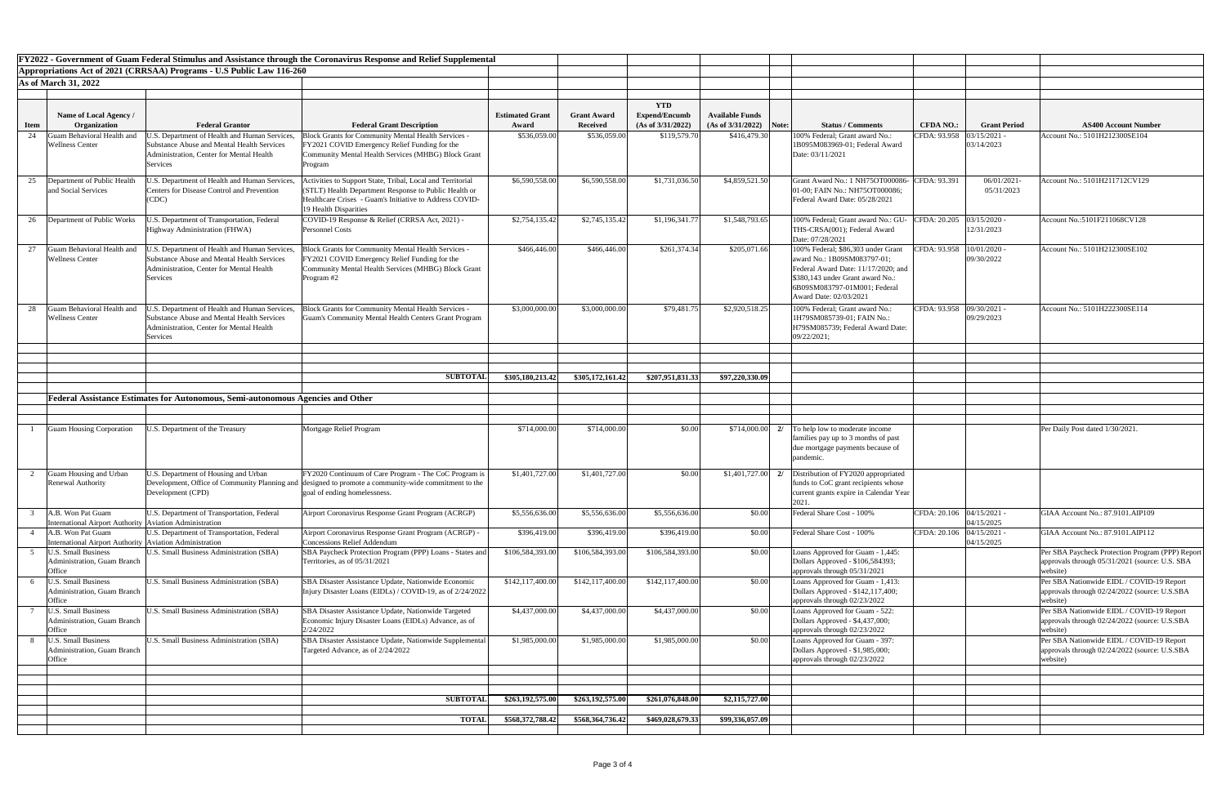|             |                                                                                |                                                                                                                                                            | <b>FY2022 - Government of Guam Federal Stimulus and Assistance through the Coronavirus Response and Relief Supplemental</b>                                                                            |                        |                    |                                    |                        |                                                                                                                                                                                                        |                             |                          |                                                                                                                |
|-------------|--------------------------------------------------------------------------------|------------------------------------------------------------------------------------------------------------------------------------------------------------|--------------------------------------------------------------------------------------------------------------------------------------------------------------------------------------------------------|------------------------|--------------------|------------------------------------|------------------------|--------------------------------------------------------------------------------------------------------------------------------------------------------------------------------------------------------|-----------------------------|--------------------------|----------------------------------------------------------------------------------------------------------------|
|             |                                                                                | Appropriations Act of 2021 (CRRSAA) Programs - U.S Public Law 116-260                                                                                      |                                                                                                                                                                                                        |                        |                    |                                    |                        |                                                                                                                                                                                                        |                             |                          |                                                                                                                |
|             | <b>As of March 31, 2022</b>                                                    |                                                                                                                                                            |                                                                                                                                                                                                        |                        |                    |                                    |                        |                                                                                                                                                                                                        |                             |                          |                                                                                                                |
|             |                                                                                |                                                                                                                                                            |                                                                                                                                                                                                        |                        |                    |                                    |                        |                                                                                                                                                                                                        |                             |                          |                                                                                                                |
|             | Name of Local Agency /                                                         |                                                                                                                                                            |                                                                                                                                                                                                        | <b>Estimated Grant</b> | <b>Grant Award</b> | <b>YTD</b><br><b>Expend/Encumb</b> | <b>Available Funds</b> |                                                                                                                                                                                                        |                             |                          |                                                                                                                |
| <b>Item</b> | Organization                                                                   | <b>Federal Grantor</b>                                                                                                                                     | <b>Federal Grant Description</b>                                                                                                                                                                       | Award                  | <b>Received</b>    | (As of $3/31/2022$ )               | (As of 3/31/2022)      | <b>Status / Comments</b><br>Note:                                                                                                                                                                      | <b>CFDA NO.:</b>            | <b>Grant Period</b>      | <b>AS400 Account Number</b>                                                                                    |
| 24          | uam Behavioral Health and                                                      | J.S. Department of Health and Human Services,                                                                                                              | <b>Block Grants for Community Mental Health Services -</b>                                                                                                                                             | \$536,059.00           | \$536,059.00       | \$119,579.70                       | \$416,479.30           | 100% Federal; Grant award No.:                                                                                                                                                                         | CFDA: 93.958                | 03/15/2021               | Account No.: 5101H212300SE104                                                                                  |
|             | <b>Wellness Center</b>                                                         | <b>Substance Abuse and Mental Health Services</b><br>Administration, Center for Mental Health<br><b>Services</b>                                           | FY2021 COVID Emergency Relief Funding for the<br><b>Community Mental Health Services (MHBG) Block Grant</b><br>Program                                                                                 |                        |                    |                                    |                        | 1B095M083969-01; Federal Award<br>Date: 03/11/2021                                                                                                                                                     |                             | 03/14/2023               |                                                                                                                |
| 25          | Department of Public Health<br>and Social Services                             | J.S. Department of Health and Human Services,<br><b>Centers for Disease Control and Prevention</b><br>(CDC)                                                | ctivities to Support State, Tribal, Local and Territorial<br>(STLT) Health Department Response to Public Health or<br>Healthcare Crises - Guam's Initiative to Address COVID-<br>19 Health Disparities | \$6,590,558.00         | \$6,590,558.00     | \$1,731,036.50                     | \$4,859,521.50         | Grant Award No.: 1 NH75OT000086- CFDA: 93.391<br>[01-00; FAIN No.: NH75OT000086;<br>Federal Award Date: 05/28/2021                                                                                     |                             | 06/01/2021<br>05/31/2023 | Account No.: 5101H211712CV129                                                                                  |
| 26          | Department of Public Works                                                     | J.S. Department of Transportation, Federal<br>Highway Administration (FHWA)                                                                                | COVID-19 Response & Relief (CRRSA Act, 2021) -<br><b>Personnel Costs</b>                                                                                                                               | \$2,754,135.42         | \$2,745,135.42     | \$1,196,341.77                     | \$1,548,793.65         | 100% Federal; Grant award No.: GU-<br>THS-CRSA(001); Federal Award<br>Date: 07/28/2021                                                                                                                 | CFDA: 20.205 03/15/2020 -   | 12/31/2023               | Account No.:5101F211068CV128                                                                                   |
| 27          | Guam Behavioral Health and<br><b>Wellness Center</b>                           | J.S. Department of Health and Human Services,<br>Substance Abuse and Mental Health Services<br>Administration, Center for Mental Health<br><b>Services</b> | Block Grants for Community Mental Health Services -<br>FY2021 COVID Emergency Relief Funding for the<br>Community Mental Health Services (MHBG) Block Grant<br>Program #2                              | \$466,446.00           | \$466,446.00       | \$261,374.34                       | \$205,071.66           | 100% Federal; \$86,303 under Grant<br>award No.: 1B09SM083797-01;<br>Federal Award Date: 11/17/2020; and<br>\$380,143 under Grant award No.:<br>6B09SM083797-01M001; Federal<br>Award Date: 02/03/2021 | CFDA: 93.958   10/01/2020 - | 09/30/2022               | Account No.: 5101H212300SE102                                                                                  |
| 28          | Guam Behavioral Health and<br><b>Wellness Center</b>                           | J.S. Department of Health and Human Services,<br>Substance Abuse and Mental Health Services<br>Administration, Center for Mental Health<br>Services        | Block Grants for Community Mental Health Services -<br>Guam's Community Mental Health Centers Grant Program                                                                                            | \$3,000,000.00         | \$3,000,000.00     | \$79,481.75                        | \$2,920,518.25         | 100% Federal; Grant award No.:<br>1H79SM085739-01; FAIN No.:<br>H79SM085739; Federal Award Date:<br>09/22/2021;                                                                                        | CFDA: 93.958 09/30/2021 -   | 09/29/2023               | Account No.: 5101H222300SE114                                                                                  |
|             |                                                                                |                                                                                                                                                            |                                                                                                                                                                                                        |                        |                    |                                    |                        |                                                                                                                                                                                                        |                             |                          |                                                                                                                |
|             |                                                                                |                                                                                                                                                            | <b>SUBTOTAL</b>                                                                                                                                                                                        | \$305,180,213.42       | \$305,172,161.42   | \$207,951,831.33                   | \$97,220,330.09        |                                                                                                                                                                                                        |                             |                          |                                                                                                                |
|             |                                                                                |                                                                                                                                                            |                                                                                                                                                                                                        |                        |                    |                                    |                        |                                                                                                                                                                                                        |                             |                          |                                                                                                                |
|             |                                                                                | Federal Assistance Estimates for Autonomous, Semi-autonomous Agencies and Other                                                                            |                                                                                                                                                                                                        |                        |                    |                                    |                        |                                                                                                                                                                                                        |                             |                          |                                                                                                                |
|             |                                                                                |                                                                                                                                                            |                                                                                                                                                                                                        |                        |                    |                                    |                        |                                                                                                                                                                                                        |                             |                          |                                                                                                                |
|             | Guam Housing Corporation                                                       | J.S. Department of the Treasury                                                                                                                            | Mortgage Relief Program                                                                                                                                                                                | \$714,000.00           | \$714,000.00       | \$0.00                             | \$714,000.00           | 2/ To help low to moderate income<br>families pay up to 3 months of past<br>due mortgage payments because of<br>pandemic.                                                                              |                             |                          | Per Daily Post dated 1/30/2021.                                                                                |
|             | Guam Housing and Urban<br><b>Renewal Authority</b>                             | J.S. Department of Housing and Urban<br>Development (CPD)                                                                                                  | FY2020 Continuum of Care Program - The CoC Program is<br>Development, Office of Community Planning and designed to promote a community-wide commitment to the<br>goal of ending homelessness.          | \$1,401,727.00         | \$1,401,727.00     | \$0.00                             |                        | $\vert 1,401,727.00 \vert$ 2/ Distribution of FY2020 appropriated<br>funds to CoC grant recipients whose<br>current grants expire in Calendar Year<br>2021                                             |                             |                          |                                                                                                                |
|             | A.B. Won Pat Guam<br>International Airport Authority Aviation Administration   | U.S. Department of Transportation, Federal                                                                                                                 | Airport Coronavirus Response Grant Program (ACRGP)                                                                                                                                                     | \$5,556,636.00         | \$5,556,636.00     | \$5,556,636.00                     | \$0.00                 | Federal Share Cost - 100%                                                                                                                                                                              | CFDA: 20.106 04/15/2021 -   | 04/15/2025               | GIAA Account No.: 87.9101.AIP109                                                                               |
|             | A.B. Won Pat Guam<br>International Airport Authority   Aviation Administration | U.S. Department of Transportation, Federal                                                                                                                 | Airport Coronavirus Response Grant Program (ACRGP) -<br><b>Concessions Relief Addendum</b>                                                                                                             | \$396,419.00           | \$396,419.00       | \$396,419.00                       | \$0.00                 | Federal Share Cost - 100%                                                                                                                                                                              | CFDA: 20.106 04/15/2021 -   | 04/15/2025               | GIAA Account No.: 87.9101.AIP112                                                                               |
|             | J.S. Small Business<br><b>Administration</b> , Guam Branch<br>Office           | <b>U.S. Small Business Administration (SBA)</b>                                                                                                            | SBA Paycheck Protection Program (PPP) Loans - States and<br>Territories, as of 05/31/2021                                                                                                              | \$106,584,393.00       | \$106,584,393.00   | \$106,584,393.00                   | \$0.00                 | Loans Approved for Guam - 1,445:<br>Dollars Approved - \$106,584393;<br>approvals through 05/31/2021                                                                                                   |                             |                          | Per SBA Paycheck Protection Program (PPP) Report<br>approvals through 05/31/2021 (source: U.S. SBA<br>website) |
|             | <b>J.S. Small Business</b><br>Administration, Guam Branch<br>Office            | U.S. Small Business Administration (SBA)                                                                                                                   | SBA Disaster Assistance Update, Nationwide Economic<br>Injury Disaster Loans (EIDLs) / COVID-19, as of 2/24/2022                                                                                       | \$142,117,400.00       | \$142,117,400.00   | \$142,117,400.00                   | \$0.00                 | Loans Approved for Guam - 1,413:<br>Dollars Approved - \$142,117,400;<br>approvals through 02/23/2022                                                                                                  |                             |                          | Per SBA Nationwide EIDL / COVID-19 Report<br>approvals through 02/24/2022 (source: U.S.SBA<br>website)         |
|             | <b>U.S. Small Business</b><br>Administration, Guam Branch<br>Office            | <b>J.S. Small Business Administration (SBA)</b>                                                                                                            | SBA Disaster Assistance Update, Nationwide Targeted<br>Economic Injury Disaster Loans (EIDLs) Advance, as of<br>2/24/2022                                                                              | \$4,437,000.00         | \$4,437,000.00     | \$4,437,000.00                     | \$0.00                 | Loans Approved for Guam - 522:<br>Dollars Approved - \$4,437,000;                                                                                                                                      |                             |                          | Per SBA Nationwide EIDL / COVID-19 Report<br>approvals through 02/24/2022 (source: U.S.SBA<br>website)         |
|             | <b>U.S. Small Business</b><br>Administration, Guam Branch<br>Office            | U.S. Small Business Administration (SBA)                                                                                                                   | SBA Disaster Assistance Update, Nationwide Supplemental<br>Targeted Advance, as of 2/24/2022                                                                                                           | \$1,985,000.00         | \$1,985,000.00     | \$1,985,000.00                     | \$0.00                 | approvals through 02/23/2022<br>Loans Approved for Guam - 397:<br>Dollars Approved - \$1,985,000;<br>approvals through 02/23/2022                                                                      |                             |                          | Per SBA Nationwide EIDL / COVID-19 Report<br>approvals through 02/24/2022 (source: U.S.SBA<br>website)         |
|             |                                                                                |                                                                                                                                                            |                                                                                                                                                                                                        |                        |                    |                                    |                        |                                                                                                                                                                                                        |                             |                          |                                                                                                                |
|             |                                                                                |                                                                                                                                                            | <b>SUBTOTAL</b>                                                                                                                                                                                        | \$263,192,575.00       | \$263,192,575.00   | \$261,076,848.00                   | \$2,115,727.00         |                                                                                                                                                                                                        |                             |                          |                                                                                                                |
|             |                                                                                |                                                                                                                                                            | <b>TOTAL</b>                                                                                                                                                                                           | \$568,372,788.42       | \$568,364,736.42   | \$469,028,679.33                   | \$99,336,057.09        |                                                                                                                                                                                                        |                             |                          |                                                                                                                |
|             |                                                                                |                                                                                                                                                            |                                                                                                                                                                                                        |                        |                    |                                    |                        |                                                                                                                                                                                                        |                             |                          |                                                                                                                |

| <b>Number</b><br>104                      |
|-------------------------------------------|
| $\overline{7129}$                         |
| 128                                       |
| $\overline{102}$                          |
| 114                                       |
|                                           |
|                                           |
|                                           |
|                                           |
| $\overline{IP109}$<br>$\overline{IP112}$  |
| Program (PPP) Report<br>(source: U.S. SBA |
| OVID-19 Report<br>source: U.S.SBA         |
| OVID-19 Report<br>source: U.S.SBA         |
| OVID-19 Report<br>source: U.S.SBA         |
|                                           |
|                                           |
|                                           |
|                                           |